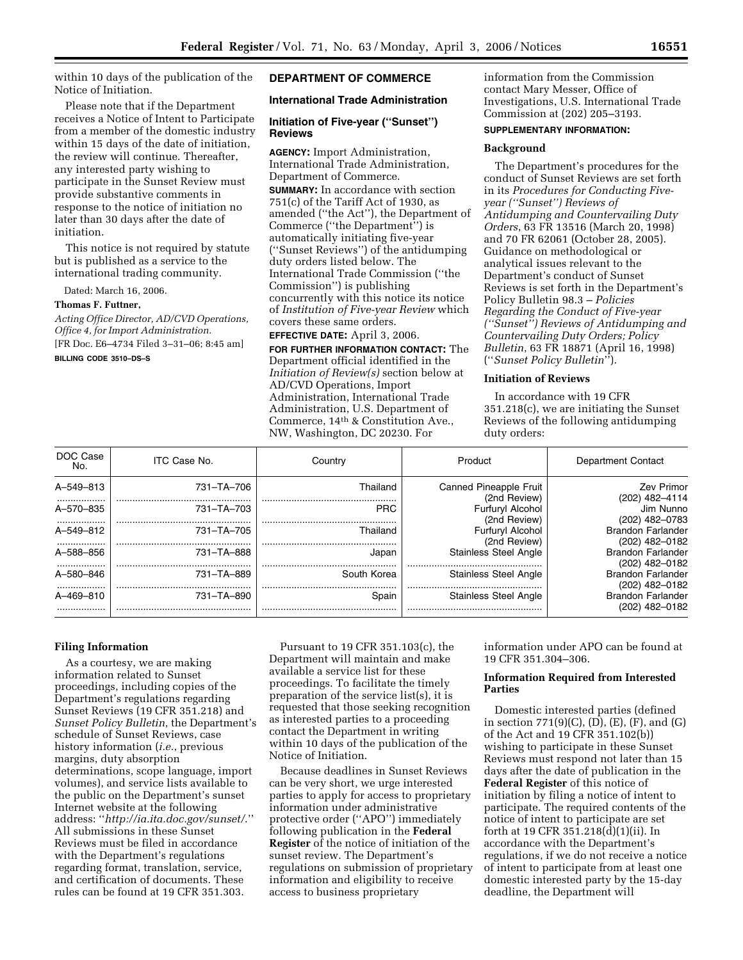within 10 days of the publication of the Notice of Initiation.

Please note that if the Department receives a Notice of Intent to Participate from a member of the domestic industry within 15 days of the date of initiation, the review will continue. Thereafter, any interested party wishing to participate in the Sunset Review must provide substantive comments in response to the notice of initiation no later than 30 days after the date of initiation.

This notice is not required by statute but is published as a service to the international trading community.

Dated: March 16, 2006.

#### **Thomas F. Futtner,**

*Acting Office Director, AD/CVD Operations, Office 4, for Import Administration.*  [FR Doc. E6–4734 Filed 3–31–06; 8:45 am]

**BILLING CODE 3510–DS–S** 

## **DEPARTMENT OF COMMERCE**

# **International Trade Administration**

## **Initiation of Five-year (''Sunset'') Reviews**

**AGENCY:** Import Administration, International Trade Administration, Department of Commerce.

**SUMMARY:** In accordance with section  $751(c)$  of the Tariff Act of 1930, as amended (''the Act''), the Department of Commerce (''the Department'') is automatically initiating five-year (''Sunset Reviews'') of the antidumping duty orders listed below. The International Trade Commission (''the Commission'') is publishing concurrently with this notice its notice of *Institution of Five-year Review* which covers these same orders.

**EFFECTIVE DATE:** April 3, 2006.

**FOR FURTHER INFORMATION CONTACT:** The Department official identified in the *Initiation of Review(s)* section below at AD/CVD Operations, Import Administration, International Trade Administration, U.S. Department of Commerce, 14th & Constitution Ave., NW, Washington, DC 20230. For

information from the Commission contact Mary Messer, Office of Investigations, U.S. International Trade Commission at (202) 205–3193.

## **SUPPLEMENTARY INFORMATION:**

### **Background**

The Department's procedures for the conduct of Sunset Reviews are set forth in its *Procedures for Conducting Fiveyear (''Sunset'') Reviews of Antidumping and Countervailing Duty Orders*, 63 FR 13516 (March 20, 1998) and 70 FR 62061 (October 28, 2005). Guidance on methodological or analytical issues relevant to the Department's conduct of Sunset Reviews is set forth in the Department's Policy Bulletin 98.3 – *Policies Regarding the Conduct of Five-year (''Sunset'') Reviews of Antidumping and Countervailing Duty Orders; Policy Bulletin*, 63 FR 18871 (April 16, 1998) (''*Sunset Policy Bulletin*'').

## **Initiation of Reviews**

In accordance with 19 CFR 351.218(c), we are initiating the Sunset Reviews of the following antidumping duty orders:

| DOC Case<br>No.    | ITC Case No. | Country         | Product                                | Department Contact                         |
|--------------------|--------------|-----------------|----------------------------------------|--------------------------------------------|
| A-549-813          | 731-TA-706   | Thailand        | Canned Pineapple Fruit<br>(2nd Review) | Zev Primor<br>(202) 482-4114               |
| .<br>A-570-835<br> | 731-TA-703   | <b>PRC</b>      | Furfuryl Alcohol<br>(2nd Review)       | Jim Nunno<br>(202) 482-0783                |
| A-549-812<br>.     | 731-TA-705   | Thailand        | Furfuryl Alcohol<br>(2nd Review)       | <b>Brandon Farlander</b><br>(202) 482-0182 |
| A-588-856<br>.     | 731-TA-888   | Japar           | <b>Stainless Steel Angle</b>           | <b>Brandon Farlander</b><br>(202) 482-0182 |
| A-580-846<br>      | 731-TA-889   | South Korea<br> | <b>Stainless Steel Angle</b>           | <b>Brandon Farlander</b><br>(202) 482-0182 |
| A-469-810<br>.     | 731-TA-890   | Spair           | <b>Stainless Steel Angle</b>           | <b>Brandon Farlander</b><br>(202) 482–0182 |

## **Filing Information**

As a courtesy, we are making information related to Sunset proceedings, including copies of the Department's regulations regarding Sunset Reviews (19 CFR 351.218) and *Sunset Policy Bulletin*, the Department's schedule of Sunset Reviews, case history information (*i.e.*, previous margins, duty absorption determinations, scope language, import volumes), and service lists available to the public on the Department's sunset Internet website at the following address: ''*http://ia.ita.doc.gov/sunset/*.'' All submissions in these Sunset Reviews must be filed in accordance with the Department's regulations regarding format, translation, service, and certification of documents. These rules can be found at 19 CFR 351.303.

Pursuant to 19 CFR 351.103(c), the Department will maintain and make available a service list for these proceedings. To facilitate the timely preparation of the service list(s), it is requested that those seeking recognition as interested parties to a proceeding contact the Department in writing within 10 days of the publication of the Notice of Initiation.

Because deadlines in Sunset Reviews can be very short, we urge interested parties to apply for access to proprietary information under administrative protective order (''APO'') immediately following publication in the **Federal Register** of the notice of initiation of the sunset review. The Department's regulations on submission of proprietary information and eligibility to receive access to business proprietary

information under APO can be found at 19 CFR 351.304–306.

### **Information Required from Interested Parties**

Domestic interested parties (defined in section  $771(9)(C)$ ,  $(D)$ ,  $(E)$ ,  $(F)$ , and  $(G)$ of the Act and 19 CFR 351.102(b)) wishing to participate in these Sunset Reviews must respond not later than 15 days after the date of publication in the **Federal Register** of this notice of initiation by filing a notice of intent to participate. The required contents of the notice of intent to participate are set forth at 19 CFR 351.218(d)(1)(ii). In accordance with the Department's regulations, if we do not receive a notice of intent to participate from at least one domestic interested party by the 15-day deadline, the Department will